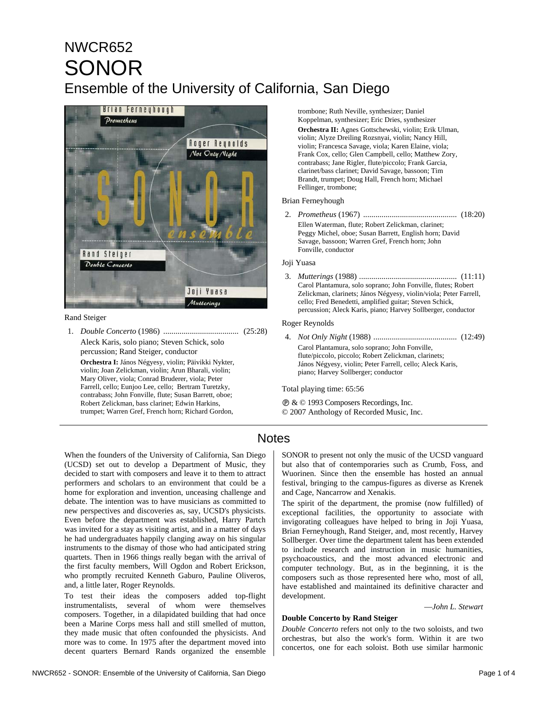# NWCR652 SONOR Ensemble of the University of California, San Diego



#### Rand Steiger

1. *Double Concerto* (1986) ..................................... (25:28) Aleck Karis, solo piano; Steven Schick, solo percussion; Rand Steiger, conductor **Orchestra I:** János Négyesy, violin; Päivikki Nykter, violin; Joan Zelickman, violin; Arun Bharali, violin; Mary Oliver, viola; Conrad Bruderer, viola; Peter Farrell, cello; Eunjoo Lee, cello; Bertram Turetzky, contrabass; John Fonville, flute; Susan Barrett, oboe; Robert Zelickman, bass clarinet; Edwin Harkins, trumpet; Warren Gref, French horn; Richard Gordon,

trombone; Ruth Neville, synthesizer; Daniel Koppelman, synthesizer; Eric Dries, synthesizer **Orchestra II:** Agnes Gottschewski, violin; Erik Ulman, violin; Alyze Dreiling Rozsnyai, violin; Nancy Hill, violin; Francesca Savage, viola; Karen Elaine, viola; Frank Cox, cello; Glen Campbell, cello; Matthew Zory, contrabass; Jane Rigler, flute/piccolo; Frank Garcia, clarinet/bass clarinet; David Savage, bassoon; Tim Brandt, trumpet; Doug Hall, French horn; Michael Fellinger, trombone;

#### Brian Ferneyhough

2. *Prometheus* (1967) .............................................. (18:20) Ellen Waterman, flute; Robert Zelickman, clarinet; Peggy Michel, oboe; Susan Barrett, English horn; David Savage, bassoon; Warren Gref, French horn; John Fonville, conductor

#### Joji Yuasa

3. *Mutterings* (1988) ................................................ (11:11) Carol Plantamura, solo soprano; John Fonville, flutes; Robert Zelickman, clarinets; János Négyesy, violin/viola; Peter Farrell, cello; Fred Benedetti, amplified guitar; Steven Schick, percussion; Aleck Karis, piano; Harvey Sollberger, conductor

#### Roger Reynolds

4. *Not Only Night* (1988) ......................................... (12:49) Carol Plantamura, solo soprano; John Fonville, flute/piccolo, piccolo; Robert Zelickman, clarinets; János Négyesy, violin; Peter Farrell, cello; Aleck Karis, piano; Harvey Sollberger; conductor

Total playing time: 65:56

Ê & © 1993 Composers Recordings, Inc. © 2007 Anthology of Recorded Music, Inc.

### **Notes**

When the founders of the University of California, San Diego (UCSD) set out to develop a Department of Music, they decided to start with composers and leave it to them to attract performers and scholars to an environment that could be a home for exploration and invention, unceasing challenge and debate. The intention was to have musicians as committed to new perspectives and discoveries as, say, UCSD's physicists. Even before the department was established, Harry Partch was invited for a stay as visiting artist, and in a matter of days he had undergraduates happily clanging away on his singular instruments to the dismay of those who had anticipated string quartets. Then in 1966 things really began with the arrival of the first faculty members, Will Ogdon and Robert Erickson, who promptly recruited Kenneth Gaburo, Pauline Oliveros, and, a little later, Roger Reynolds.

To test their ideas the composers added top-flight instrumentalists, several of whom were themselves composers. Together, in a dilapidated building that had once been a Marine Corps mess hall and still smelled of mutton, they made music that often confounded the physicists. And more was to come. In 1975 after the department moved into decent quarters Bernard Rands organized the ensemble SONOR to present not only the music of the UCSD vanguard but also that of contemporaries such as Crumb, Foss, and Wuorinen. Since then the ensemble has hosted an annual festival, bringing to the campus-figures as diverse as Krenek and Cage, Nancarrow and Xenakis.

The spirit of the department, the promise (now fulfilled) of exceptional facilities, the opportunity to associate with invigorating colleagues have helped to bring in Joji Yuasa, Brian Ferneyhough, Rand Steiger, and, most recently, Harvey Sollberger. Over time the department talent has been extended to include research and instruction in music humanities, psychoacoustics, and the most advanced electronic and computer technology. But, as in the beginning, it is the composers such as those represented here who, most of all, have established and maintained its definitive character and development.

—*John L. Stewart*

#### **Double Concerto by Rand Steiger**

*Double Concerto* refers not only to the two soloists, and two orchestras, but also the work's form. Within it are two concertos, one for each soloist. Both use similar harmonic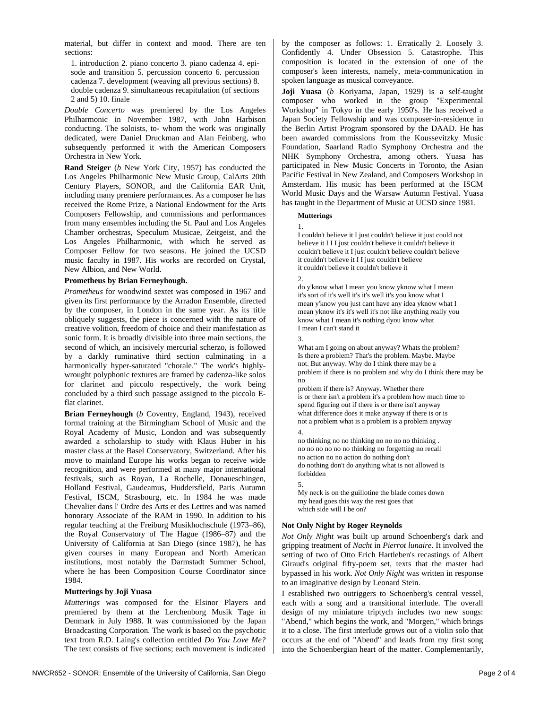material, but differ in context and mood. There are ten sections:

1. introduction 2. piano concerto 3. piano cadenza 4. episode and transition 5. percussion concerto 6. percussion cadenza 7. development (weaving all previous sections) 8. double cadenza 9. simultaneous recapitulation (of sections 2 and 5) 10. finale

*Double Concerto* was premiered by the Los Angeles Philharmonic in November 1987, with John Harbison conducting. The soloists, to- whom the work was originally dedicated, were Daniel Druckman and Alan Feinberg, who subsequently performed it with the American Composers Orchestra in New York.

**Rand Steiger** (*b* New York City, 1957) has conducted the Los Angeles Philharmonic New Music Group, CalArts 20th Century Players, SONOR, and the California EAR Unit, including many premiere performances. As a composer he has received the Rome Prize, a National Endowment for the Arts Composers Fellowship, and commissions and performances from many ensembles including the St. Paul and Los Angeles Chamber orchestras, Speculum Musicae, Zeitgeist, and the Los Angeles Philharmonic, with which he served as Composer Fellow for two seasons. He joined the UCSD music faculty in 1987. His works are recorded on Crystal, New Albion, and New World.

#### **Prometheus by Brian Ferneyhough.**

*Prometheus* for woodwind sextet was composed in 1967 and given its first performance by the Arradon Ensemble, directed by the composer, in London in the same year. As its title obliquely suggests, the piece is concerned with the nature of creative volition, freedom of choice and their manifestation as sonic form. It is broadly divisible into three main sections, the second of which, an incisively mercurial scherzo, is followed by a darkly ruminative third section culminating in a harmonically hyper-saturated "chorale." The work's highlywrought polyphonic textures are framed by cadenza-like solos for clarinet and piccolo respectively, the work being concluded by a third such passage assigned to the piccolo Eflat clarinet.

**Brian Ferneyhough** (*b* Coventry, England, 1943), received formal training at the Birmingham School of Music and the Royal Academy of Music, London and was subsequently awarded a scholarship to study with Klaus Huber in his master class at the Basel Conservatory, Switzerland. After his move to mainland Europe his works began to receive wide recognition, and were performed at many major international festivals, such as Royan, La Rochelle, Donaueschingen, Holland Festival, Gaudeamus, Huddersfield, Paris Autumn Festival, ISCM, Strasbourg, etc. In 1984 he was made Chevalier dans l' Ordre des Arts et des Lettres and was named honorary Associate of the RAM in 1990. In addition to his regular teaching at the Freiburg Musikhochschule (1973–86), the Royal Conservatory of The Hague (1986–87) and the University of California at San Diego (since 1987), he has given courses in many European and North American institutions, most notably the Darmstadt Summer School, where he has been Composition Course Coordinator since 1984.

#### **Mutterings by Joji Yuasa**

*Mutterings* was composed for the Elsinor Players and premiered by them at the Lerchenborg Musik Tage in Denmark in July 1988. It was commissioned by the Japan Broadcasting Corporation. The work is based on the psychotic text from R.D. Laing's collection entitled *Do You Love Me?*  The text consists of five sections; each movement is indicated by the composer as follows: 1. Erratically 2. Loosely 3. Confidently 4. Under Obsession 5. Catastrophe. This composition is located in the extension of one of the composer's keen interests, namely, meta-communication in spoken language as musical conveyance.

**Joji Yuasa** (*b* Koriyama, Japan, 1929) is a self-taught composer who worked in the group "Experimental Workshop" in Tokyo in the early 1950's. He has received a Japan Society Fellowship and was composer-in-residence in the Berlin Artist Program sponsored by the DAAD. He has been awarded commissions from the Koussevitzky Music Foundation, Saarland Radio Symphony Orchestra and the NHK Symphony Orchestra, among others. Yuasa has participated in New Music Concerts in Toronto, the Asian Pacific Festival in New Zealand, and Composers Workshop in Amsterdam. His music has been performed at the ISCM World Music Days and the Warsaw Autumn Festival. Yuasa has taught in the Department of Music at UCSD since 1981.

#### **Mutterings**

1. I couldn't believe it I just couldn't believe it just could not believe it I I I just couldn't believe it couldn't believe it couldn't believe it I just couldn't believe couldn't believe it couldn't believe it I I just couldn't believe it couldn't believe it couldn't believe it

2.

do y'know what I mean you know yknow what I mean it's sort of it's well it's it's well it's you know what I mean y'know you just cant have any idea yknow what I mean yknow it's it's well it's not like anything really you know what I mean it's nothing dyou know what I mean I can't stand it

3.

What am I going on about anyway? Whats the problem? Is there a problem? That's the problem. Maybe. Maybe not. But anyway. Why do I think there may be a problem if there is no problem and why do I think there may be no

problem if there is? Anyway. Whether there is or there isn't a problem it's a problem how much time to spend figuring out if there is or there isn't anyway what difference does it make anyway if there is or is not a problem what is a problem is a problem anyway 4.

no thinking no no thinking no no no no thinking . no no no no no no thinking no forgetting no recall no action no no action do nothing don't do nothing don't do anything what is not allowed is forbidden 5.

My neck is on the guillotine the blade comes down my head goes this way the rest goes that which side will I be on?

#### **Not Only Night by Roger Reynolds**

*Not Only Night* was built up around Schoenberg's dark and gripping treatment of *Nacht* in *Pierrot lunaire*. It involved the setting of two of Otto Erich Hartleben's recastings of Albert Giraud's original fifty-poem set, texts that the master had bypassed in his work. *Not Only Night* was written in response to an imaginative design by Leonard Stein.

I established two outriggers to Schoenberg's central vessel, each with a song and a transitional interlude. The overall design of my miniature triptych includes two new songs: "Abend," which begins the work, and "Morgen," which brings it to a close. The first interlude grows out of a violin solo that occurs at the end of "Abend" and leads from my first song into the Schoenbergian heart of the matter. Complementarily,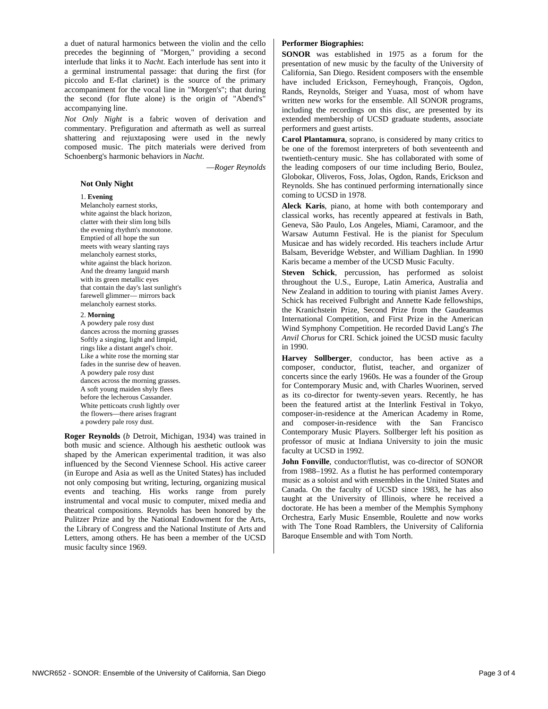a duet of natural harmonics between the violin and the cello precedes the beginning of "Morgen," providing a second interlude that links it to *Nacht*. Each interlude has sent into it a germinal instrumental passage: that during the first (for piccolo and E-flat clarinet) is the source of the primary accompaniment for the vocal line in "Morgen's"; that during the second (for flute alone) is the origin of "Abend's" accompanying line.

*Not Only Night* is a fabric woven of derivation and commentary. Prefiguration and aftermath as well as surreal shattering and rejuxtaposing were used in the newly composed music. The pitch materials were derived from Schoenberg's harmonic behaviors in *Nacht*.

—*Roger Reynolds* 

#### **Not Only Night**

#### 1. **Evening**

Melancholy earnest storks, white against the black horizon, clatter with their slim long bills the evening rhythm's monotone. Emptied of all hope the sun meets with weary slanting rays melancholy earnest storks, white against the black horizon. And the dreamy languid marsh with its green metallic eyes that contain the day's last sunlight's farewell glimmer— mirrors back melancholy earnest storks.

2. **Morning**

A powdery pale rosy dust dances across the morning grasses Softly a singing, light and limpid, rings like a distant angel's choir. Like a white rose the morning star fades in the sunrise dew of heaven. A powdery pale rosy dust dances across the morning grasses. A soft young maiden shyly flees before the lecherous Cassander. White petticoats crush lightly over the flowers—there arises fragrant a powdery pale rosy dust.

**Roger Reynolds** (*b* Detroit, Michigan, 1934) was trained in both music and science. Although his aesthetic outlook was shaped by the American experimental tradition, it was also influenced by the Second Viennese School. His active career (in Europe and Asia as well as the United States) has included not only composing but writing, lecturing, organizing musical events and teaching. His works range from purely instrumental and vocal music to computer, mixed media and theatrical compositions. Reynolds has been honored by the Pulitzer Prize and by the National Endowment for the Arts, the Library of Congress and the National Institute of Arts and Letters, among others. He has been a member of the UCSD music faculty since 1969.

#### **Performer Biographies:**

**SONOR** was established in 1975 as a forum for the presentation of new music by the faculty of the University of California, San Diego. Resident composers with the ensemble have included Erickson, Ferneyhough, François, Ogdon, Rands, Reynolds, Steiger and Yuasa, most of whom have written new works for the ensemble. All SONOR programs, including the recordings on this disc, are presented by its extended membership of UCSD graduate students, associate performers and guest artists.

**Carol Plantamura**, soprano, is considered by many critics to be one of the foremost interpreters of both seventeenth and twentieth-century music. She has collaborated with some of the leading composers of our time including Berio, Boulez, Globokar, Oliveros, Foss, Jolas, Ogdon, Rands, Erickson and Reynolds. She has continued performing internationally since coming to UCSD in 1978.

**Aleck Karis**, piano, at home with both contemporary and classical works, has recently appeared at festivals in Bath, Geneva, São Paulo, Los Angeles, Miami, Caramoor, and the Warsaw Autumn Festival. He is the pianist for Speculum Musicae and has widely recorded. His teachers include Artur Balsam, Beveridge Webster, and William Daghlian. In 1990 Karis became a member of the UCSD Music Faculty.

**Steven Schick**, percussion, has performed as soloist throughout the U.S., Europe, Latin America, Australia and New Zealand in addition to touring with pianist James Avery. Schick has received Fulbright and Annette Kade fellowships, the Kranichstein Prize, Second Prize from the Gaudeamus International Competition, and First Prize in the American Wind Symphony Competition. He recorded David Lang's *The Anvil Chorus* for CRI. Schick joined the UCSD music faculty in 1990.

**Harvey Sollberger**, conductor, has been active as a composer, conductor, flutist, teacher, and organizer of concerts since the early 1960s. He was a founder of the Group for Contemporary Music and, with Charles Wuorinen, served as its co-director for twenty-seven years. Recently, he has been the featured artist at the Interlink Festival in Tokyo, composer-in-residence at the American Academy in Rome, and composer-in-residence with the San Francisco Contemporary Music Players. Sollberger left his position as professor of music at Indiana University to join the music faculty at UCSD in 1992.

**John Fonville**, conductor/flutist, was co-director of SONOR from 1988–1992. As a flutist he has performed contemporary music as a soloist and with ensembles in the United States and Canada. On the faculty of UCSD since 1983, he has also taught at the University of Illinois, where he received a doctorate. He has been a member of the Memphis Symphony Orchestra, Early Music Ensemble, Roulette and now works with The Tone Road Ramblers, the University of California Baroque Ensemble and with Tom North.